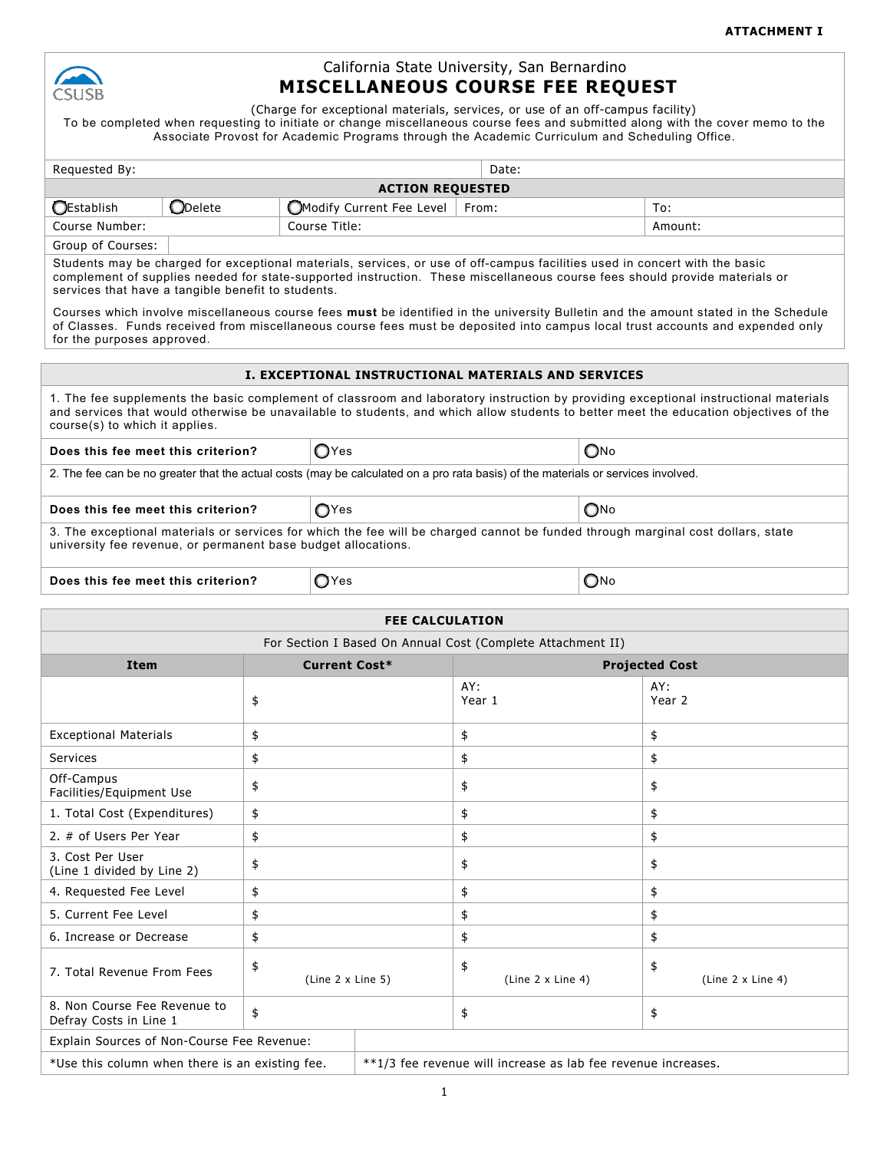

## California State University, San Bernardino **MISCELLANEOUS COURSE FEE REQUEST**

(Charge for exceptional materials, services, or use of an off-campus facility) To be completed when requesting to initiate or change miscellaneous course fees and submitted along with the cover memo to the Associate Provost for Academic Programs through the Academic Curriculum and Scheduling Office.

| Date:<br>Requested By:                                                                                                                                                                                                                                                                                                                                                                                                                                                                                                                                                                                                 |                        |                                                     |              |               |
|------------------------------------------------------------------------------------------------------------------------------------------------------------------------------------------------------------------------------------------------------------------------------------------------------------------------------------------------------------------------------------------------------------------------------------------------------------------------------------------------------------------------------------------------------------------------------------------------------------------------|------------------------|-----------------------------------------------------|--------------|---------------|
| <b>ACTION REQUESTED</b>                                                                                                                                                                                                                                                                                                                                                                                                                                                                                                                                                                                                |                        |                                                     |              |               |
| <b>OEstablish</b>                                                                                                                                                                                                                                                                                                                                                                                                                                                                                                                                                                                                      | <b>ODelete</b>         | Modify Current Fee Level                            | From:<br>To: |               |
| Course Number:                                                                                                                                                                                                                                                                                                                                                                                                                                                                                                                                                                                                         |                        | Course Title:                                       |              | Amount:       |
| Group of Courses:                                                                                                                                                                                                                                                                                                                                                                                                                                                                                                                                                                                                      |                        |                                                     |              |               |
| Students may be charged for exceptional materials, services, or use of off-campus facilities used in concert with the basic<br>complement of supplies needed for state-supported instruction. These miscellaneous course fees should provide materials or<br>services that have a tangible benefit to students.<br>Courses which involve miscellaneous course fees must be identified in the university Bulletin and the amount stated in the Schedule<br>of Classes. Funds received from miscellaneous course fees must be deposited into campus local trust accounts and expended only<br>for the purposes approved. |                        |                                                     |              |               |
|                                                                                                                                                                                                                                                                                                                                                                                                                                                                                                                                                                                                                        |                        |                                                     |              |               |
|                                                                                                                                                                                                                                                                                                                                                                                                                                                                                                                                                                                                                        |                        | I. EXCEPTIONAL INSTRUCTIONAL MATERIALS AND SERVICES |              |               |
| 1. The fee supplements the basic complement of classroom and laboratory instruction by providing exceptional instructional materials<br>and services that would otherwise be unavailable to students, and which allow students to better meet the education objectives of the<br>course(s) to which it applies.                                                                                                                                                                                                                                                                                                        |                        |                                                     |              |               |
| OYes<br>$\mathbb{O}$ No<br>Does this fee meet this criterion?                                                                                                                                                                                                                                                                                                                                                                                                                                                                                                                                                          |                        |                                                     |              |               |
| 2. The fee can be no greater that the actual costs (may be calculated on a pro rata basis) of the materials or services involved.                                                                                                                                                                                                                                                                                                                                                                                                                                                                                      |                        |                                                     |              |               |
| $\bigcirc$ No<br>$\bigcirc$ Yes<br>Does this fee meet this criterion?                                                                                                                                                                                                                                                                                                                                                                                                                                                                                                                                                  |                        |                                                     |              |               |
| 3. The exceptional materials or services for which the fee will be charged cannot be funded through marginal cost dollars, state<br>university fee revenue, or permanent base budget allocations.                                                                                                                                                                                                                                                                                                                                                                                                                      |                        |                                                     |              |               |
| Does this fee meet this criterion?                                                                                                                                                                                                                                                                                                                                                                                                                                                                                                                                                                                     |                        | $\bigcirc$ Yes                                      |              | $\bigcirc$ No |
|                                                                                                                                                                                                                                                                                                                                                                                                                                                                                                                                                                                                                        |                        |                                                     |              |               |
|                                                                                                                                                                                                                                                                                                                                                                                                                                                                                                                                                                                                                        | <b>FFF CALCULATION</b> |                                                     |              |               |

| For Section I Based On Annual Cost (Complete Attachment II)  |    |                                                               |                                |                          |
|--------------------------------------------------------------|----|---------------------------------------------------------------|--------------------------------|--------------------------|
| <b>Current Cost*</b><br><b>Item</b>                          |    |                                                               | <b>Projected Cost</b>          |                          |
|                                                              | \$ |                                                               | AY:<br>Year 1                  | AY:<br>Year <sub>2</sub> |
| <b>Exceptional Materials</b>                                 | \$ |                                                               | \$                             | \$                       |
| Services                                                     | \$ |                                                               | \$                             | \$                       |
| Off-Campus<br>Facilities/Equipment Use                       | \$ |                                                               | \$                             | \$                       |
| 1. Total Cost (Expenditures)<br>\$                           |    |                                                               | \$                             | \$                       |
| 2. # of Users Per Year                                       | \$ |                                                               | \$                             | \$                       |
| 3. Cost Per User<br>(Line 1 divided by Line 2)               | \$ |                                                               | \$                             | \$                       |
| 4. Requested Fee Level<br>\$                                 |    |                                                               | \$                             | \$                       |
| 5. Current Fee Level<br>\$                                   |    |                                                               | \$                             | \$                       |
| 6. Increase or Decrease<br>\$                                |    |                                                               | \$                             | \$                       |
| \$<br>7. Total Revenue From Fees<br>(Line 2 x Line 5)        |    |                                                               | \$<br>(Line $2 \times$ Line 4) | \$<br>(Line 2 x Line 4)  |
| 8. Non Course Fee Revenue to<br>\$<br>Defray Costs in Line 1 |    |                                                               | \$                             | \$                       |
| Explain Sources of Non-Course Fee Revenue:                   |    |                                                               |                                |                          |
| *Use this column when there is an existing fee.              |    | **1/3 fee revenue will increase as lab fee revenue increases. |                                |                          |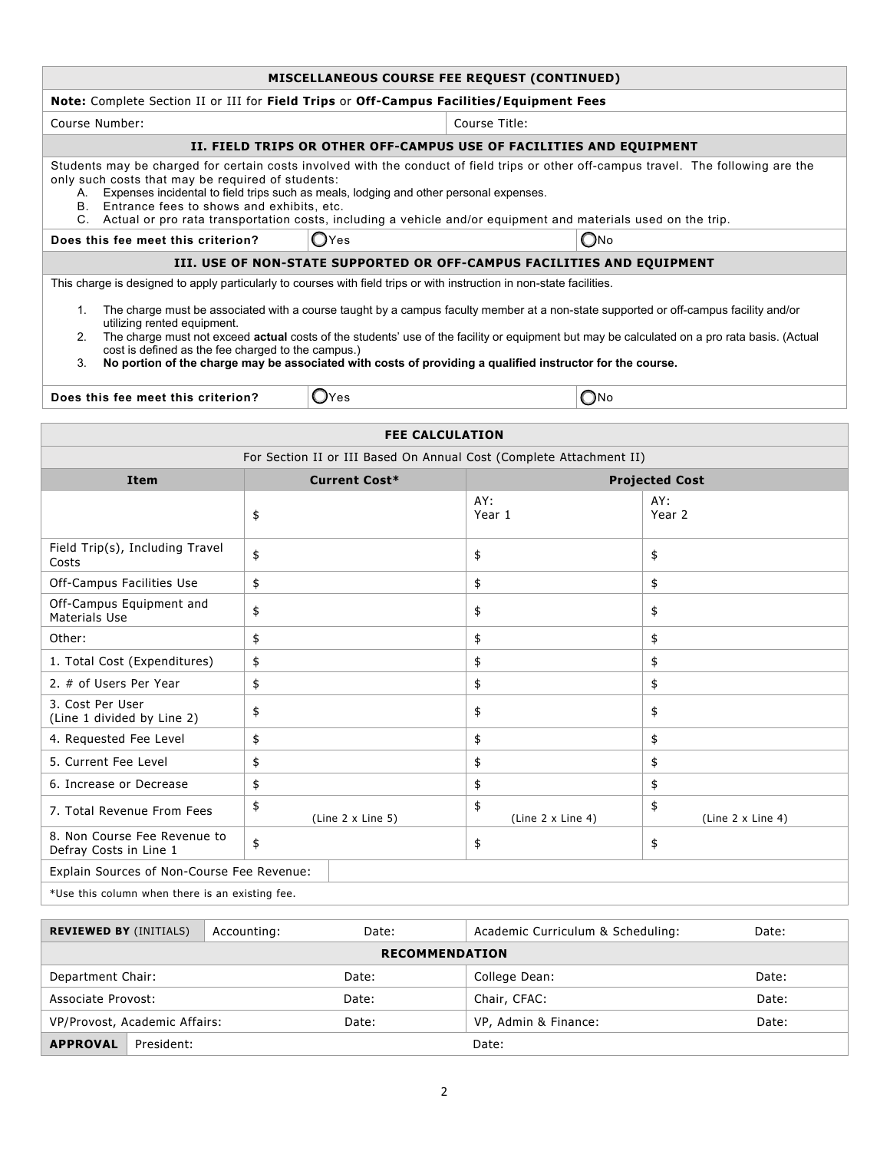|                                                                                                                                                                                                                                                                                                                                                                                                                                                                                                              |                                                                                                                        | MISCELLANEOUS COURSE FEE REQUEST (CONTINUED)                                                                                                                                                                                                             |                                |  |
|--------------------------------------------------------------------------------------------------------------------------------------------------------------------------------------------------------------------------------------------------------------------------------------------------------------------------------------------------------------------------------------------------------------------------------------------------------------------------------------------------------------|------------------------------------------------------------------------------------------------------------------------|----------------------------------------------------------------------------------------------------------------------------------------------------------------------------------------------------------------------------------------------------------|--------------------------------|--|
|                                                                                                                                                                                                                                                                                                                                                                                                                                                                                                              | Note: Complete Section II or III for Field Trips or Off-Campus Facilities/Equipment Fees                               |                                                                                                                                                                                                                                                          |                                |  |
| Course Number:                                                                                                                                                                                                                                                                                                                                                                                                                                                                                               |                                                                                                                        | Course Title:                                                                                                                                                                                                                                            |                                |  |
|                                                                                                                                                                                                                                                                                                                                                                                                                                                                                                              |                                                                                                                        | II. FIELD TRIPS OR OTHER OFF-CAMPUS USE OF FACILITIES AND EQUIPMENT                                                                                                                                                                                      |                                |  |
| only such costs that may be required of students:<br>B. Entrance fees to shows and exhibits, etc.                                                                                                                                                                                                                                                                                                                                                                                                            | A. Expenses incidental to field trips such as meals, lodging and other personal expenses.                              | Students may be charged for certain costs involved with the conduct of field trips or other off-campus travel. The following are the<br>C. Actual or pro rata transportation costs, including a vehicle and/or equipment and materials used on the trip. |                                |  |
| Does this fee meet this criterion?                                                                                                                                                                                                                                                                                                                                                                                                                                                                           | $\bigcirc$ Yes                                                                                                         | $O$ No                                                                                                                                                                                                                                                   |                                |  |
|                                                                                                                                                                                                                                                                                                                                                                                                                                                                                                              |                                                                                                                        | III. USE OF NON-STATE SUPPORTED OR OFF-CAMPUS FACILITIES AND EQUIPMENT                                                                                                                                                                                   |                                |  |
|                                                                                                                                                                                                                                                                                                                                                                                                                                                                                                              | This charge is designed to apply particularly to courses with field trips or with instruction in non-state facilities. |                                                                                                                                                                                                                                                          |                                |  |
| 1. The charge must be associated with a course taught by a campus faculty member at a non-state supported or off-campus facility and/or<br>utilizing rented equipment.<br>The charge must not exceed <b>actual</b> costs of the students' use of the facility or equipment but may be calculated on a pro rata basis. (Actual<br>2.<br>cost is defined as the fee charged to the campus.)<br>No portion of the charge may be associated with costs of providing a qualified instructor for the course.<br>3. |                                                                                                                        |                                                                                                                                                                                                                                                          |                                |  |
|                                                                                                                                                                                                                                                                                                                                                                                                                                                                                                              | $\mathsf{O}$ Yes<br>$\bigcirc$ No<br>Does this fee meet this criterion?                                                |                                                                                                                                                                                                                                                          |                                |  |
|                                                                                                                                                                                                                                                                                                                                                                                                                                                                                                              |                                                                                                                        | <b>FEE CALCULATION</b>                                                                                                                                                                                                                                   |                                |  |
|                                                                                                                                                                                                                                                                                                                                                                                                                                                                                                              |                                                                                                                        | For Section II or III Based On Annual Cost (Complete Attachment II)                                                                                                                                                                                      |                                |  |
| <b>Item</b>                                                                                                                                                                                                                                                                                                                                                                                                                                                                                                  | <b>Current Cost*</b>                                                                                                   |                                                                                                                                                                                                                                                          | <b>Projected Cost</b>          |  |
|                                                                                                                                                                                                                                                                                                                                                                                                                                                                                                              | \$                                                                                                                     | AY:<br>Year 1                                                                                                                                                                                                                                            | AY:<br>Year 2                  |  |
| Field Trip(s), Including Travel<br>Costs                                                                                                                                                                                                                                                                                                                                                                                                                                                                     | \$                                                                                                                     | \$                                                                                                                                                                                                                                                       | \$                             |  |
| Off-Campus Facilities Use                                                                                                                                                                                                                                                                                                                                                                                                                                                                                    | \$                                                                                                                     | \$                                                                                                                                                                                                                                                       | \$                             |  |
| Off-Campus Equipment and<br>Materials Use                                                                                                                                                                                                                                                                                                                                                                                                                                                                    | \$                                                                                                                     | \$                                                                                                                                                                                                                                                       | \$                             |  |
| Other:                                                                                                                                                                                                                                                                                                                                                                                                                                                                                                       | \$                                                                                                                     | \$                                                                                                                                                                                                                                                       | \$                             |  |
| 1. Total Cost (Expenditures)                                                                                                                                                                                                                                                                                                                                                                                                                                                                                 | \$                                                                                                                     | \$                                                                                                                                                                                                                                                       | \$                             |  |
| 2. # of Users Per Year                                                                                                                                                                                                                                                                                                                                                                                                                                                                                       | \$                                                                                                                     | \$                                                                                                                                                                                                                                                       | \$                             |  |
| 3. Cost Per User<br>(Line 1 divided by Line 2)                                                                                                                                                                                                                                                                                                                                                                                                                                                               | \$                                                                                                                     | \$                                                                                                                                                                                                                                                       | \$                             |  |
| 4. Requested Fee Level                                                                                                                                                                                                                                                                                                                                                                                                                                                                                       | \$                                                                                                                     | \$                                                                                                                                                                                                                                                       | \$                             |  |
| 5. Current Fee Level                                                                                                                                                                                                                                                                                                                                                                                                                                                                                         | \$                                                                                                                     | \$                                                                                                                                                                                                                                                       | \$                             |  |
| 6. Increase or Decrease                                                                                                                                                                                                                                                                                                                                                                                                                                                                                      | \$                                                                                                                     | \$                                                                                                                                                                                                                                                       | \$                             |  |
| 7. Total Revenue From Fees                                                                                                                                                                                                                                                                                                                                                                                                                                                                                   | \$<br>(Line 2 x Line 5)                                                                                                | \$<br>(Line $2 \times$ Line 4)                                                                                                                                                                                                                           | \$<br>(Line $2 \times$ Line 4) |  |
| 8. Non Course Fee Revenue to<br>Defray Costs in Line 1                                                                                                                                                                                                                                                                                                                                                                                                                                                       | \$                                                                                                                     | \$                                                                                                                                                                                                                                                       | \$                             |  |

Explain Sources of Non-Course Fee Revenue:

\*Use this column when there is an existing fee.

| <b>REVIEWED BY (INITIALS)</b> | Accounting: | Date: | Academic Curriculum & Scheduling: | Date: |
|-------------------------------|-------------|-------|-----------------------------------|-------|
| <b>RECOMMENDATION</b>         |             |       |                                   |       |
| Department Chair:             |             | Date: | College Dean:                     | Date: |
| Associate Provost:            |             | Date: | Chair, CFAC:                      | Date: |
| VP/Provost, Academic Affairs: |             | Date: | VP, Admin & Finance:              | Date: |
| <b>APPROVAL</b><br>President: |             |       | Date:                             |       |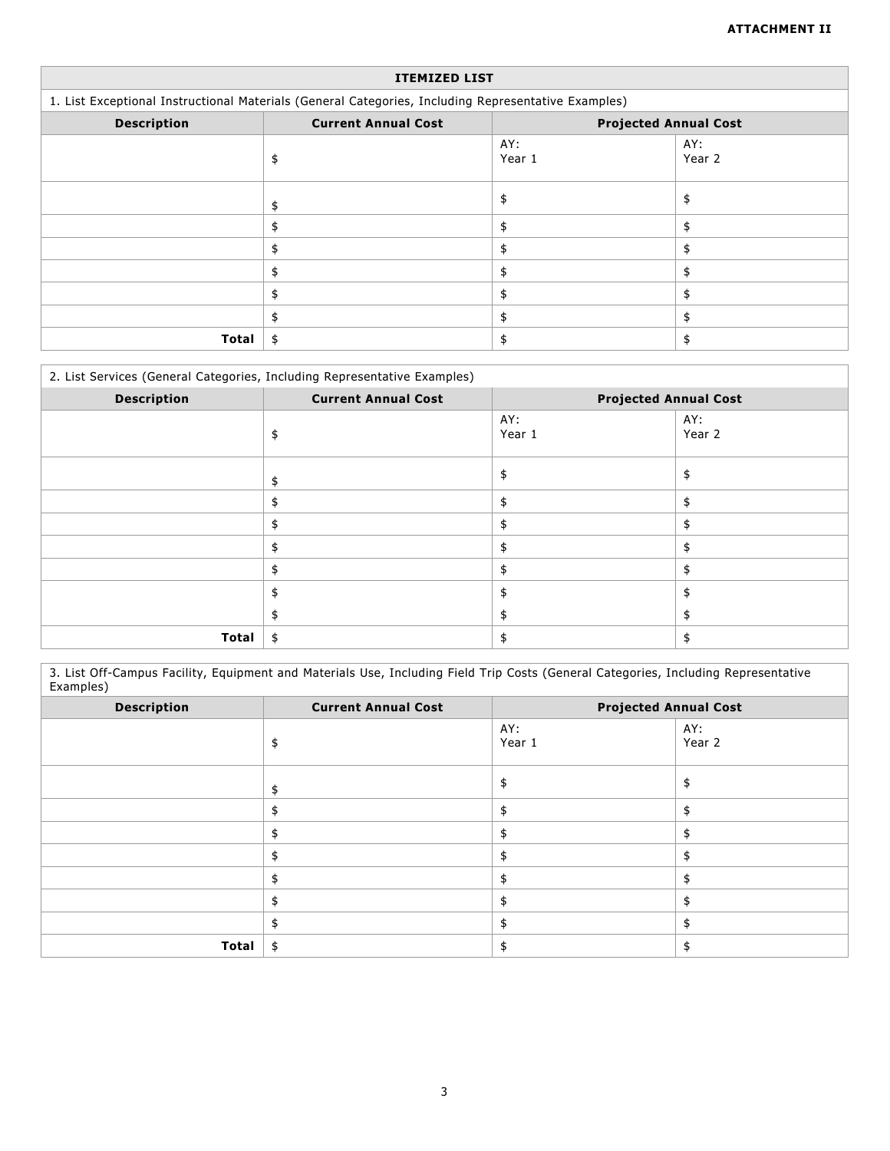| <b>ITEMIZED LIST</b> |                                                                                                     |                              |               |  |  |
|----------------------|-----------------------------------------------------------------------------------------------------|------------------------------|---------------|--|--|
|                      | 1. List Exceptional Instructional Materials (General Categories, Including Representative Examples) |                              |               |  |  |
| <b>Description</b>   | <b>Current Annual Cost</b>                                                                          | <b>Projected Annual Cost</b> |               |  |  |
|                      | \$                                                                                                  | AY:<br>Year 1                | AY:<br>Year 2 |  |  |
|                      |                                                                                                     | \$                           | \$            |  |  |
|                      |                                                                                                     | \$                           | \$            |  |  |
|                      | \$                                                                                                  | \$                           | \$            |  |  |
|                      |                                                                                                     | \$                           | \$            |  |  |
|                      | \$                                                                                                  | \$                           | \$            |  |  |
|                      | \$                                                                                                  | \$                           | \$            |  |  |
| Total                | \$                                                                                                  |                              | \$            |  |  |

### 2. List Services (General Categories, Including Representative Examples)

| <b>Description</b> | <b>Current Annual Cost</b> | <b>Projected Annual Cost</b> |               |
|--------------------|----------------------------|------------------------------|---------------|
|                    |                            | AY:<br>Year 1                | AY:<br>Year 2 |
|                    |                            | \$                           | \$            |
|                    |                            | \$                           |               |
|                    |                            | \$                           |               |
|                    |                            | \$                           |               |
|                    |                            | \$                           | \$            |
|                    |                            | \$                           | \$            |
|                    |                            | \$                           |               |
| <b>Total</b>       | \$                         |                              |               |

3. List Off-Campus Facility, Equipment and Materials Use, Including Field Trip Costs (General Categories, Including Representative Examples)

| <b>Description</b> | <b>Current Annual Cost</b> | <b>Projected Annual Cost</b> |               |
|--------------------|----------------------------|------------------------------|---------------|
|                    |                            | AY:<br>Year 1                | AY:<br>Year 2 |
|                    |                            |                              |               |
|                    |                            |                              |               |
|                    |                            |                              |               |
|                    |                            |                              |               |
|                    |                            |                              |               |
|                    |                            |                              |               |
|                    |                            |                              |               |
| Total              | \$                         |                              |               |